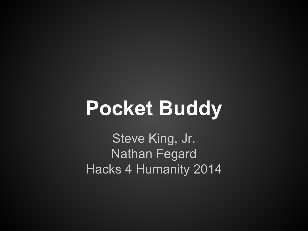# **Pocket Buddy**

Steve King, Jr. Nathan Fegard Hacks 4 Humanity 2014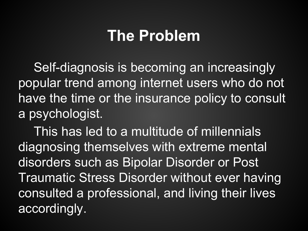#### **The Problem**

Self-diagnosis is becoming an increasingly popular trend among internet users who do not have the time or the insurance policy to consult a psychologist.

This has led to a multitude of millennials diagnosing themselves with extreme mental disorders such as Bipolar Disorder or Post Traumatic Stress Disorder without ever having consulted a professional, and living their lives accordingly.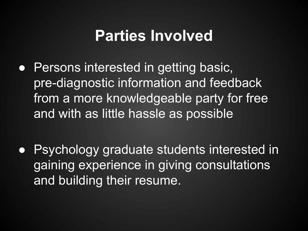#### **Parties Involved**

- **Persons interested in getting basic,** pre-diagnostic information and feedback from a more knowledgeable party for free and with as little hassle as possible
- Psychology graduate students interested in gaining experience in giving consultations and building their resume.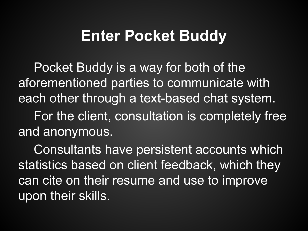#### **Enter Pocket Buddy**

Pocket Buddy is a way for both of the aforementioned parties to communicate with each other through a text-based chat system. For the client, consultation is completely free and anonymous.

Consultants have persistent accounts which statistics based on client feedback, which they can cite on their resume and use to improve upon their skills.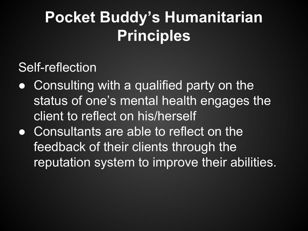# **Pocket Buddy's Humanitarian Principles**

Self-reflection

- Consulting with a qualified party on the status of one's mental health engages the client to reflect on his/herself
- Consultants are able to reflect on the feedback of their clients through the reputation system to improve their abilities.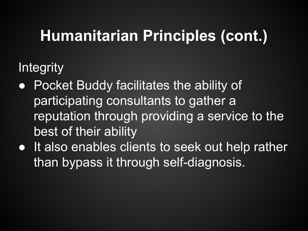# **Humanitarian Principles (cont.)**

**Integrity** 

- Pocket Buddy facilitates the ability of participating consultants to gather a reputation through providing a service to the best of their ability
- **•** It also enables clients to seek out help rather than bypass it through self-diagnosis.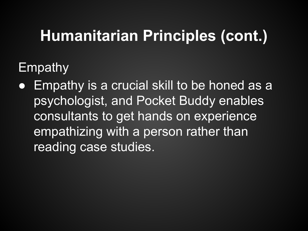# **Humanitarian Principles (cont.)**

Empathy

● Empathy is a crucial skill to be honed as a psychologist, and Pocket Buddy enables consultants to get hands on experience empathizing with a person rather than reading case studies.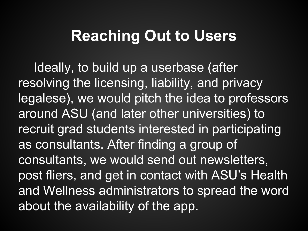#### **Reaching Out to Users**

Ideally, to build up a userbase (after resolving the licensing, liability, and privacy legalese), we would pitch the idea to professors around ASU (and later other universities) to recruit grad students interested in participating as consultants. After finding a group of consultants, we would send out newsletters, post fliers, and get in contact with ASU's Health and Wellness administrators to spread the word about the availability of the app.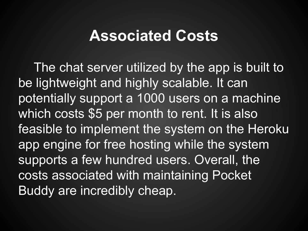#### **Associated Costs**

The chat server utilized by the app is built to be lightweight and highly scalable. It can potentially support a 1000 users on a machine which costs \$5 per month to rent. It is also feasible to implement the system on the Heroku app engine for free hosting while the system supports a few hundred users. Overall, the costs associated with maintaining Pocket Buddy are incredibly cheap.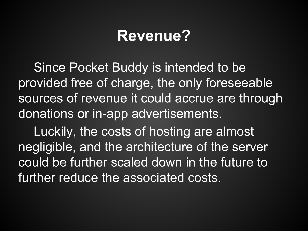### **Revenue?**

Since Pocket Buddy is intended to be provided free of charge, the only foreseeable sources of revenue it could accrue are through donations or in-app advertisements.

Luckily, the costs of hosting are almost negligible, and the architecture of the server could be further scaled down in the future to further reduce the associated costs.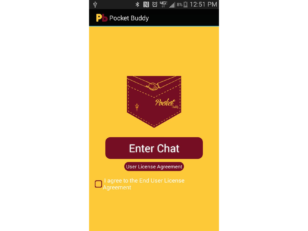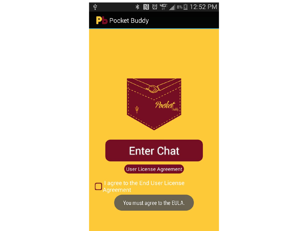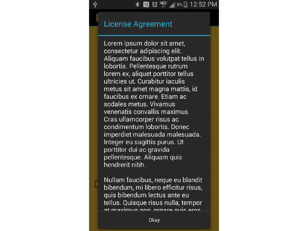#### *\* **N** © <sup>4G</sup> 418% 12:52 PM

#### **License Agreement**

ψ

Lorem ipsum dolor sit amet, consectetur adipiscing elit. Aliquam faucibus volutpat tellus in Iobortis. Pellentesque rutrum lorem ex, aliquet porttitor tellus ultricies ut. Curabitur iaculis metus sit amet magna mattis, id faucibus ex ornare. Etiam ac sodales metus. Vivamus venenatis convallis maximus. Cras ullamcorper risus ac condimentum lobortis. Donec imperdiet malesuada malesuada. Integer eu sagittis purus. Ut porttitor dui ac gravida pellentesque. Aliquam quis hendrerit nibh.

Nullam faucibus, neque eu blandit bibendum, mi libero efficitur risus, quis bibendum lectus ante eu tellus. Quisque risus nulla, tempor at mavimus non ornara quis aros

Okay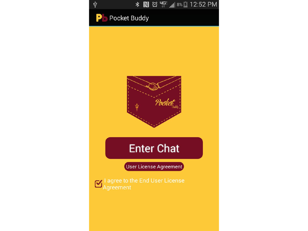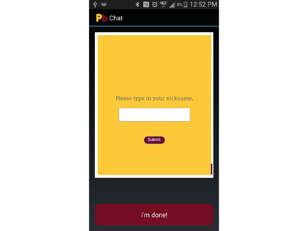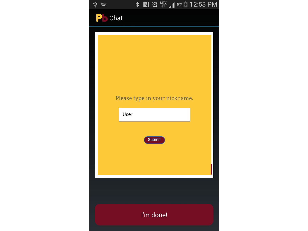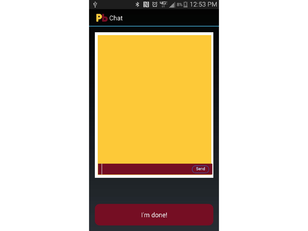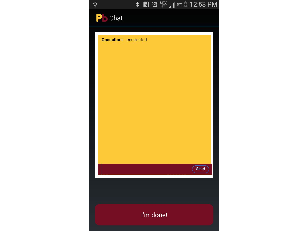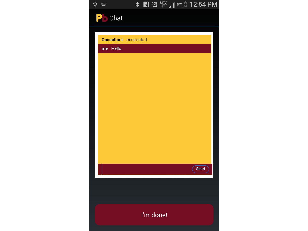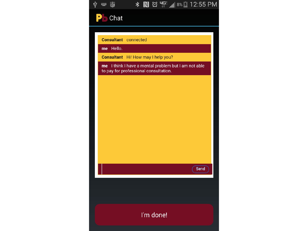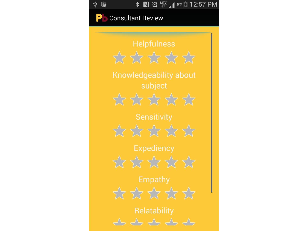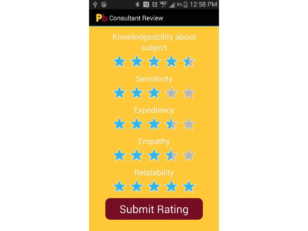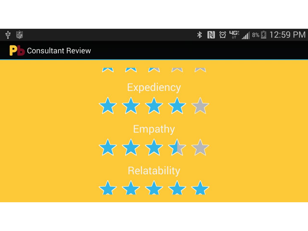



 $\mathbb{N}$   $\otimes$  <sup>4G</sup><sub>241</sub> 8% 2 12:59 PM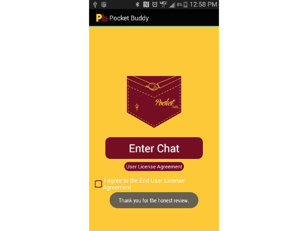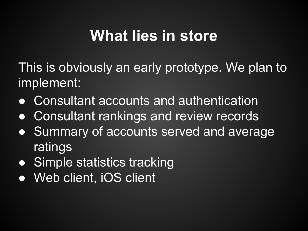### **What lies in store**

This is obviously an early prototype. We plan to implement:

- **Consultant accounts and authentication**
- Consultant rankings and review records
- Summary of accounts served and average ratings
- Simple statistics tracking
- Web client, iOS client